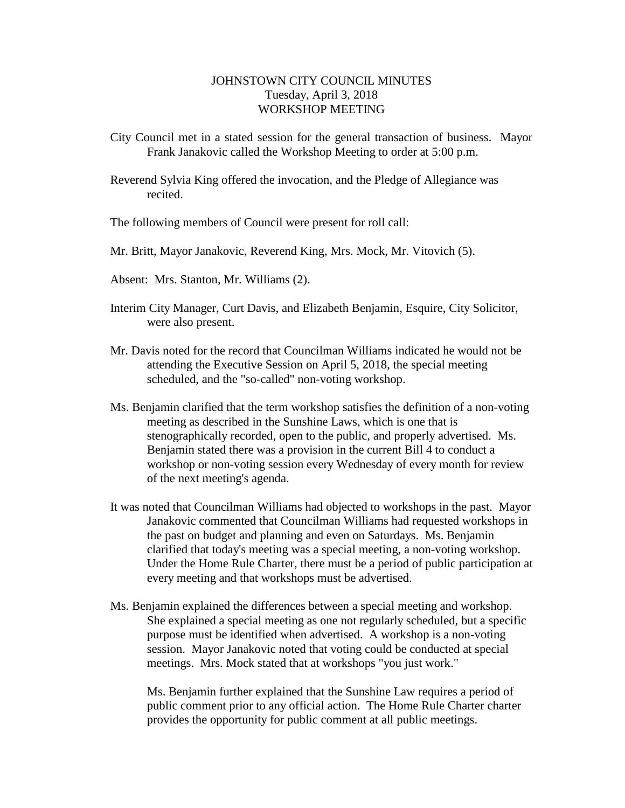## JOHNSTOWN CITY COUNCIL MINUTES Tuesday, April 3, 2018 WORKSHOP MEETING

City Council met in a stated session for the general transaction of business. Mayor Frank Janakovic called the Workshop Meeting to order at 5:00 p.m.

Reverend Sylvia King offered the invocation, and the Pledge of Allegiance was recited.

The following members of Council were present for roll call:

Mr. Britt, Mayor Janakovic, Reverend King, Mrs. Mock, Mr. Vitovich (5).

Absent: Mrs. Stanton, Mr. Williams (2).

- Interim City Manager, Curt Davis, and Elizabeth Benjamin, Esquire, City Solicitor, were also present.
- Mr. Davis noted for the record that Councilman Williams indicated he would not be attending the Executive Session on April 5, 2018, the special meeting scheduled, and the "so-called" non-voting workshop.
- Ms. Benjamin clarified that the term workshop satisfies the definition of a non-voting meeting as described in the Sunshine Laws, which is one that is stenographically recorded, open to the public, and properly advertised. Ms. Benjamin stated there was a provision in the current Bill 4 to conduct a workshop or non-voting session every Wednesday of every month for review of the next meeting's agenda.
- It was noted that Councilman Williams had objected to workshops in the past. Mayor Janakovic commented that Councilman Williams had requested workshops in the past on budget and planning and even on Saturdays. Ms. Benjamin clarified that today's meeting was a special meeting, a non-voting workshop. Under the Home Rule Charter, there must be a period of public participation at every meeting and that workshops must be advertised.
- Ms. Benjamin explained the differences between a special meeting and workshop. She explained a special meeting as one not regularly scheduled, but a specific purpose must be identified when advertised. A workshop is a non-voting session. Mayor Janakovic noted that voting could be conducted at special meetings. Mrs. Mock stated that at workshops "you just work."

Ms. Benjamin further explained that the Sunshine Law requires a period of public comment prior to any official action. The Home Rule Charter charter provides the opportunity for public comment at all public meetings.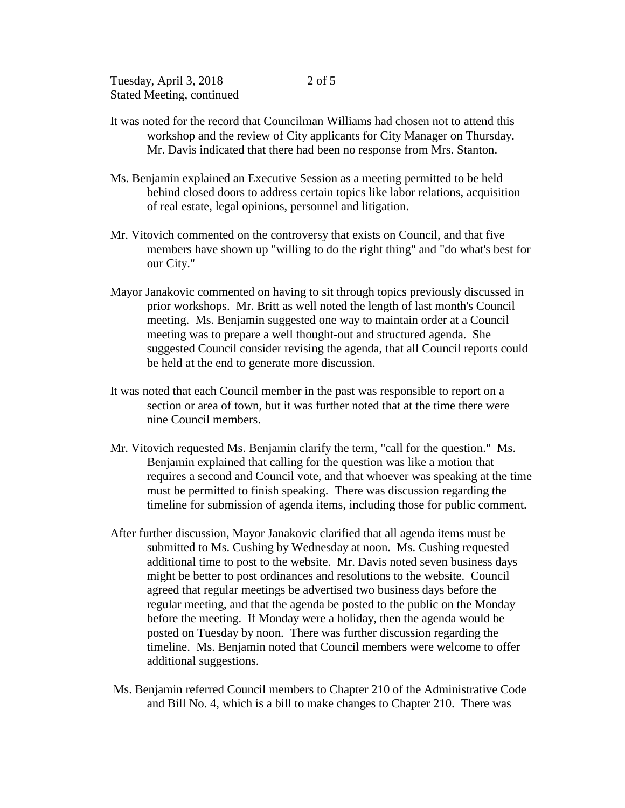- It was noted for the record that Councilman Williams had chosen not to attend this workshop and the review of City applicants for City Manager on Thursday. Mr. Davis indicated that there had been no response from Mrs. Stanton.
- Ms. Benjamin explained an Executive Session as a meeting permitted to be held behind closed doors to address certain topics like labor relations, acquisition of real estate, legal opinions, personnel and litigation.
- Mr. Vitovich commented on the controversy that exists on Council, and that five members have shown up "willing to do the right thing" and "do what's best for our City."
- Mayor Janakovic commented on having to sit through topics previously discussed in prior workshops. Mr. Britt as well noted the length of last month's Council meeting. Ms. Benjamin suggested one way to maintain order at a Council meeting was to prepare a well thought-out and structured agenda. She suggested Council consider revising the agenda, that all Council reports could be held at the end to generate more discussion.
- It was noted that each Council member in the past was responsible to report on a section or area of town, but it was further noted that at the time there were nine Council members.
- Mr. Vitovich requested Ms. Benjamin clarify the term, "call for the question." Ms. Benjamin explained that calling for the question was like a motion that requires a second and Council vote, and that whoever was speaking at the time must be permitted to finish speaking. There was discussion regarding the timeline for submission of agenda items, including those for public comment.
- After further discussion, Mayor Janakovic clarified that all agenda items must be submitted to Ms. Cushing by Wednesday at noon. Ms. Cushing requested additional time to post to the website. Mr. Davis noted seven business days might be better to post ordinances and resolutions to the website. Council agreed that regular meetings be advertised two business days before the regular meeting, and that the agenda be posted to the public on the Monday before the meeting. If Monday were a holiday, then the agenda would be posted on Tuesday by noon. There was further discussion regarding the timeline. Ms. Benjamin noted that Council members were welcome to offer additional suggestions.
- Ms. Benjamin referred Council members to Chapter 210 of the Administrative Code and Bill No. 4, which is a bill to make changes to Chapter 210. There was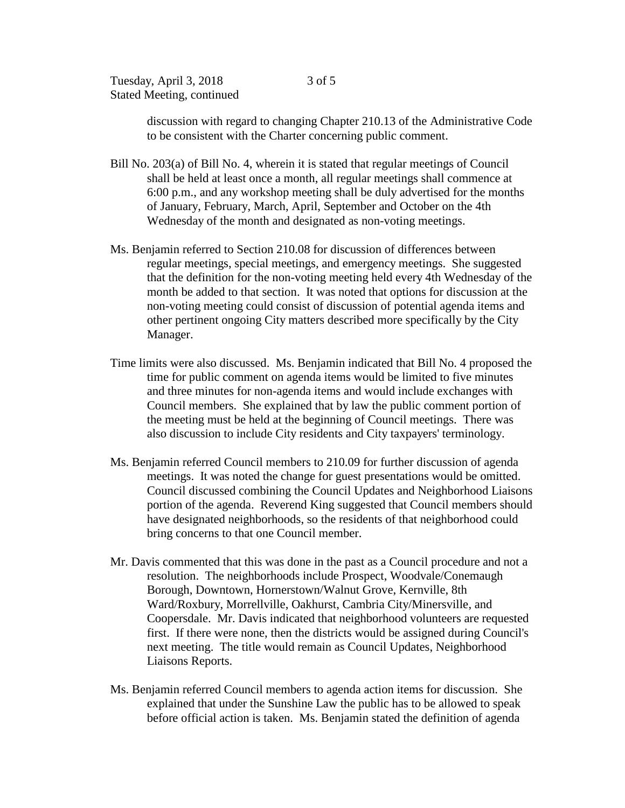discussion with regard to changing Chapter 210.13 of the Administrative Code to be consistent with the Charter concerning public comment.

- Bill No. 203(a) of Bill No. 4, wherein it is stated that regular meetings of Council shall be held at least once a month, all regular meetings shall commence at 6:00 p.m., and any workshop meeting shall be duly advertised for the months of January, February, March, April, September and October on the 4th Wednesday of the month and designated as non-voting meetings.
- Ms. Benjamin referred to Section 210.08 for discussion of differences between regular meetings, special meetings, and emergency meetings. She suggested that the definition for the non-voting meeting held every 4th Wednesday of the month be added to that section. It was noted that options for discussion at the non-voting meeting could consist of discussion of potential agenda items and other pertinent ongoing City matters described more specifically by the City Manager.
- Time limits were also discussed. Ms. Benjamin indicated that Bill No. 4 proposed the time for public comment on agenda items would be limited to five minutes and three minutes for non-agenda items and would include exchanges with Council members. She explained that by law the public comment portion of the meeting must be held at the beginning of Council meetings. There was also discussion to include City residents and City taxpayers' terminology.
- Ms. Benjamin referred Council members to 210.09 for further discussion of agenda meetings. It was noted the change for guest presentations would be omitted. Council discussed combining the Council Updates and Neighborhood Liaisons portion of the agenda. Reverend King suggested that Council members should have designated neighborhoods, so the residents of that neighborhood could bring concerns to that one Council member.
- Mr. Davis commented that this was done in the past as a Council procedure and not a resolution. The neighborhoods include Prospect, Woodvale/Conemaugh Borough, Downtown, Hornerstown/Walnut Grove, Kernville, 8th Ward/Roxbury, Morrellville, Oakhurst, Cambria City/Minersville, and Coopersdale. Mr. Davis indicated that neighborhood volunteers are requested first. If there were none, then the districts would be assigned during Council's next meeting. The title would remain as Council Updates, Neighborhood Liaisons Reports.
- Ms. Benjamin referred Council members to agenda action items for discussion. She explained that under the Sunshine Law the public has to be allowed to speak before official action is taken. Ms. Benjamin stated the definition of agenda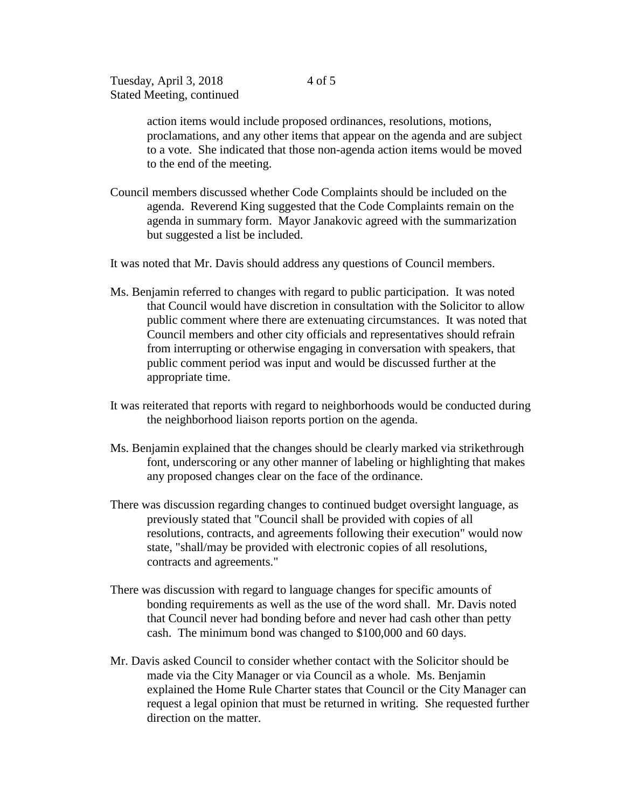action items would include proposed ordinances, resolutions, motions, proclamations, and any other items that appear on the agenda and are subject to a vote. She indicated that those non-agenda action items would be moved to the end of the meeting.

Council members discussed whether Code Complaints should be included on the agenda. Reverend King suggested that the Code Complaints remain on the agenda in summary form. Mayor Janakovic agreed with the summarization but suggested a list be included.

It was noted that Mr. Davis should address any questions of Council members.

- Ms. Benjamin referred to changes with regard to public participation. It was noted that Council would have discretion in consultation with the Solicitor to allow public comment where there are extenuating circumstances. It was noted that Council members and other city officials and representatives should refrain from interrupting or otherwise engaging in conversation with speakers, that public comment period was input and would be discussed further at the appropriate time.
- It was reiterated that reports with regard to neighborhoods would be conducted during the neighborhood liaison reports portion on the agenda.
- Ms. Benjamin explained that the changes should be clearly marked via strikethrough font, underscoring or any other manner of labeling or highlighting that makes any proposed changes clear on the face of the ordinance.
- There was discussion regarding changes to continued budget oversight language, as previously stated that "Council shall be provided with copies of all resolutions, contracts, and agreements following their execution" would now state, "shall/may be provided with electronic copies of all resolutions, contracts and agreements."
- There was discussion with regard to language changes for specific amounts of bonding requirements as well as the use of the word shall. Mr. Davis noted that Council never had bonding before and never had cash other than petty cash. The minimum bond was changed to \$100,000 and 60 days.
- Mr. Davis asked Council to consider whether contact with the Solicitor should be made via the City Manager or via Council as a whole. Ms. Benjamin explained the Home Rule Charter states that Council or the City Manager can request a legal opinion that must be returned in writing. She requested further direction on the matter.